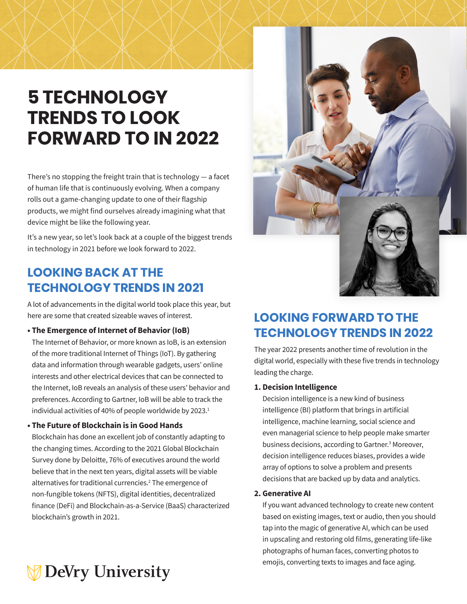# **5 TECHNOLOGY TRENDS TO LOOK FORWARD TO IN 2022**

There's no stopping the freight train that is technology — a facet of human life that is continuously evolving. When a company rolls out a game-changing update to one of their flagship products, we might find ourselves already imagining what that device might be like the following year.

It's a new year, so let's look back at a couple of the biggest trends in technology in 2021 before we look forward to 2022.

### **LOOKING BACK AT THE TECHNOLOGY TRENDS IN 2021**

A lot of advancements in the digital world took place this year, but here are some that created sizeable waves of interest.

#### **• The Emergence of Internet of Behavior (IoB)**

The Internet of Behavior, or more known as IoB, is an extension of the more traditional Internet of Things (IoT). By gathering data and information through wearable gadgets, users' online interests and other electrical devices that can be connected to the Internet, IoB reveals an analysis of these users' behavior and preferences. According to Gartner, IoB will be able to track the individual activities of 40% of people worldwide by 2023.<sup>1</sup>

#### **• The Future of Blockchain is in Good Hands**

Blockchain has done an excellent job of constantly adapting to the changing times. According to the 2021 Global Blockchain Survey done by Deloitte, 76% of executives around the world believe that in the next ten years, digital assets will be viable alternatives for traditional currencies.<sup>2</sup> The emergence of non-fungible tokens (NFTS), digital identities, decentralized finance (DeFi) and Blockchain-as-a-Service (BaaS) characterized blockchain's growth in 2021.



## **LOOKING FORWARD TO THE TECHNOLOGY TRENDS IN 2022**

The year 2022 presents another time of revolution in the digital world, especially with these five trends in technology leading the charge.

#### **1. Decision Intelligence**

Decision intelligence is a new kind of business intelligence (BI) platform that brings in artificial intelligence, machine learning, social science and even managerial science to help people make smarter business decisions, according to Gartner.<sup>3</sup> Moreover, decision intelligence reduces biases, provides a wide array of options to solve a problem and presents decisions that are backed up by data and analytics.

#### **2. Generative AI**

If you want advanced technology to create new content based on existing images, text or audio, then you should tap into the magic of generative AI, which can be used in upscaling and restoring old films, generating life-like photographs of human faces, converting photos to emojis, converting texts to images and face aging.